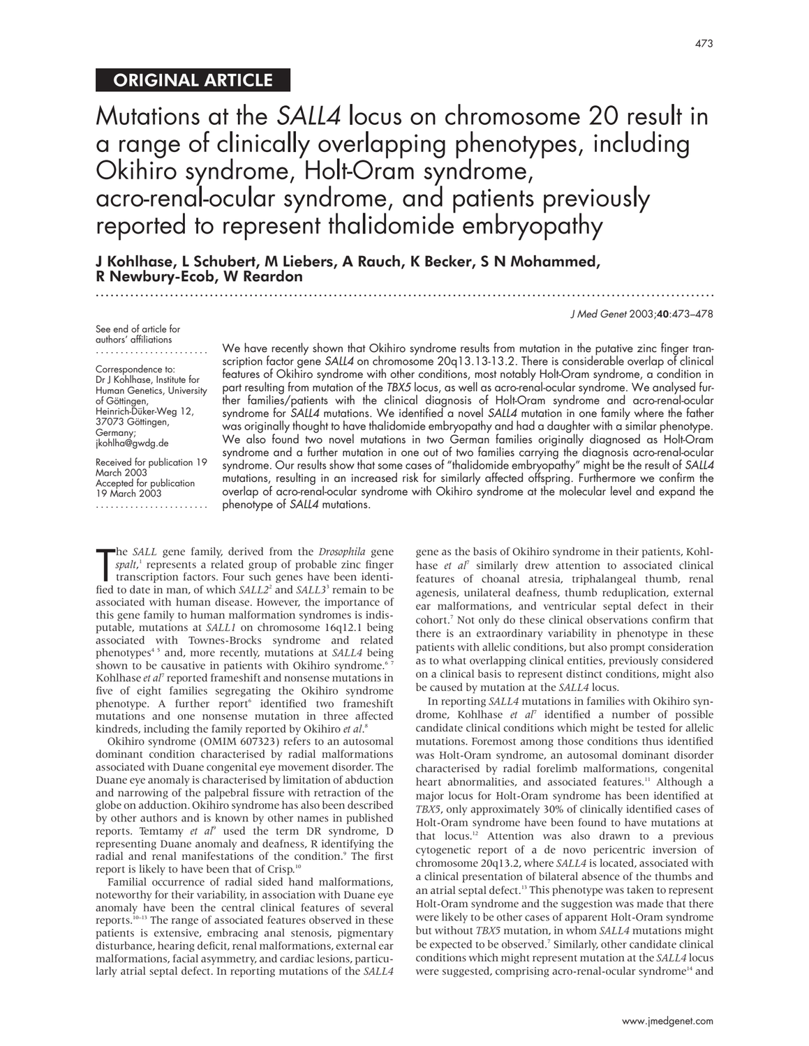# ORIGINAL ARTICLE

Mutations at the SALL4 locus on chromosome 20 result in a range of clinically overlapping phenotypes, including Okihiro syndrome, Holt-Oram syndrome, acro-renal-ocular syndrome, and patients previously reported to represent thalidomide embryopathy

.............................................................................................................................

J Kohlhase, L Schubert, M Liebers, A Rauch, K Becker, S N Mohammed, R Newbury-Ecob, W Reardon

J Med Genet 2003;40:473–478

See end of article for authors' affiliations ....................... Correspondence to: Dr J Kohlhase, Institute for Human Genetics, University of Göttingen, Heinrich-Düker-Weg 12, 37073 Göttingen, Germany; jkohlha@gwdg.de

Received for publication 19 March 2003 Accepted for publication 19 March 2003 ....................... We have recently shown that Okihiro syndrome results from mutation in the putative zinc finger transcription factor gene SALL4 on chromosome 20q13.13-13.2. There is considerable overlap of clinical features of Okihiro syndrome with other conditions, most notably Holt-Oram syndrome, a condition in part resulting from mutation of the TBX5 locus, as well as acro-renal-ocular syndrome. We analysed further families/patients with the clinical diagnosis of Holt-Oram syndrome and acro-renal-ocular syndrome for SALL4 mutations. We identified a novel SALL4 mutation in one family where the father was originally thought to have thalidomide embryopathy and had a daughter with a similar phenotype. We also found two novel mutations in two German families originally diagnosed as Holt-Oram syndrome and a further mutation in one out of two families carrying the diagnosis acro-renal-ocular syndrome. Our results show that some cases of "thalidomide embryopathy" might be the result of SALL4 mutations, resulting in an increased risk for similarly affected offspring. Furthermore we confirm the overlap of acro-renal-ocular syndrome with Okihiro syndrome at the molecular level and expand the phenotype of SALL4 mutations.

The *SALL* gene tamily, derived from the *Drosophila* gene *spalt*,<sup>1</sup> represents a related group of probable zinc finger transcription factors. Four such genes have been identified to date in man, of which *SALL2*<sup>2</sup> and he *SALL* gene family, derived from the *Drosophila* gene *spalt*, <sup>1</sup> represents a related group of probable zinc finger transcription factors. Four such genes have been identiassociated with human disease. However, the importance of this gene family to human malformation syndromes is indisputable, mutations at *SALL1* on chromosome 16q12.1 being associated with Townes-Brocks syndrome and related phenotypes<sup>45</sup> and, more recently, mutations at *SALL4* being shown to be causative in patients with Okihiro syndrome.<sup>67</sup> Kohlhase *et al*<sup>7</sup> reported frameshift and nonsense mutations in five of eight families segregating the Okihiro syndrome phenotype. A further report<sup>6</sup> identified two frameshift mutations and one nonsense mutation in three affected kindreds, including the family reported by Okihiro *et al*. 8

Okihiro syndrome (OMIM 607323) refers to an autosomal dominant condition characterised by radial malformations associated with Duane congenital eye movement disorder. The Duane eye anomaly is characterised by limitation of abduction and narrowing of the palpebral fissure with retraction of the globe on adduction. Okihiro syndrome has also been described by other authors and is known by other names in published reports. Temtamy *et al*<sup>9</sup> used the term DR syndrome, D representing Duane anomaly and deafness, R identifying the radial and renal manifestations of the condition.<sup>9</sup> The first report is likely to have been that of Crisp.<sup>1</sup>

Familial occurrence of radial sided hand malformations, noteworthy for their variability, in association with Duane eye anomaly have been the central clinical features of several reports.10–13 The range of associated features observed in these patients is extensive, embracing anal stenosis, pigmentary disturbance, hearing deficit, renal malformations, external ear malformations, facial asymmetry, and cardiac lesions, particularly atrial septal defect. In reporting mutations of the *SALL4*

gene as the basis of Okihiro syndrome in their patients, Kohlhase *et al<sup>7</sup>* similarly drew attention to associated clinical features of choanal atresia, triphalangeal thumb, renal agenesis, unilateral deafness, thumb reduplication, external ear malformations, and ventricular septal defect in their cohort.7 Not only do these clinical observations confirm that there is an extraordinary variability in phenotype in these patients with allelic conditions, but also prompt consideration as to what overlapping clinical entities, previously considered on a clinical basis to represent distinct conditions, might also be caused by mutation at the *SALL4* locus.

In reporting *SALL4* mutations in families with Okihiro syndrome, Kohlhase *et al*<sup>7</sup> identified a number of possible candidate clinical conditions which might be tested for allelic mutations. Foremost among those conditions thus identified was Holt-Oram syndrome, an autosomal dominant disorder characterised by radial forelimb malformations, congenital heart abnormalities, and associated features.<sup>11</sup> Although a major locus for Holt-Oram syndrome has been identified at *TBX5*, only approximately 30% of clinically identified cases of Holt-Oram syndrome have been found to have mutations at that locus.12 Attention was also drawn to a previous cytogenetic report of a de novo pericentric inversion of chromosome 20q13.2, where *SALL4* is located, associated with a clinical presentation of bilateral absence of the thumbs and an atrial septal defect.<sup>13</sup> This phenotype was taken to represent Holt-Oram syndrome and the suggestion was made that there were likely to be other cases of apparent Holt-Oram syndrome but without *TBX5* mutation, in whom *SALL4* mutations might be expected to be observed.<sup>7</sup> Similarly, other candidate clinical conditions which might represent mutation at the *SALL4* locus were suggested, comprising acro-renal-ocular syndrome<sup>14</sup> and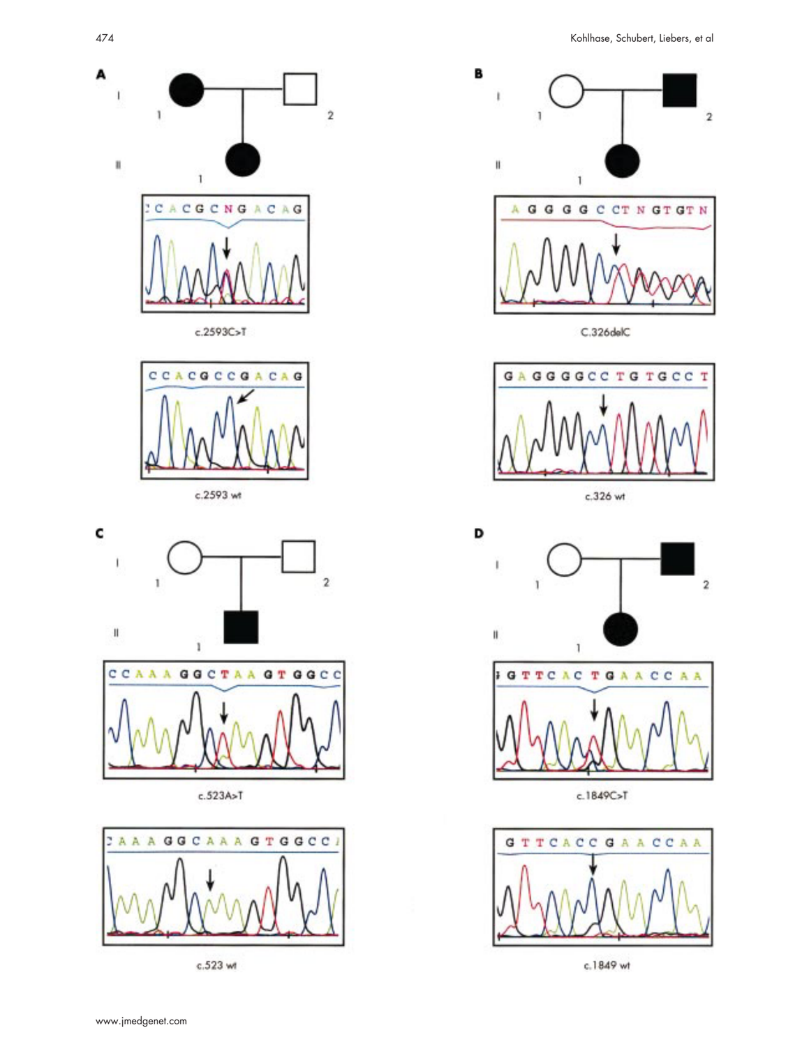













c.523 wt







c.1849C>T



c.1849 wt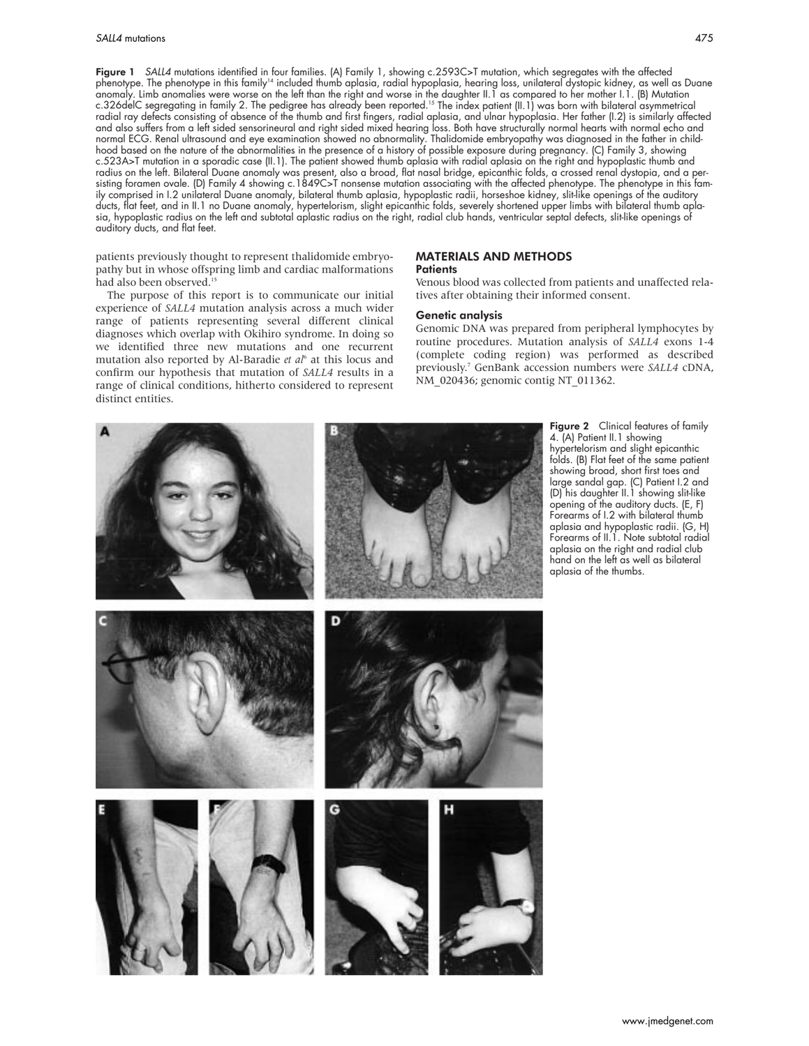Figure 1 SALL4 mutations identified in four families. (A) Family 1, showing c.2593C>T mutation, which segregates with the affected phenotype. The phenotype in this family<sup>14</sup> included thumb aplasia, radial hypoplasia, hearing loss, unilateral dystopic kidney, as well as Duane anomaly. Limb anomalies were worse on the left than the right and worse in the daughter II.1 as compared to her mother I.1. (B) Mutation c.326delC segregating in family 2. The pedigree has already been reported.<sup>15</sup> The index patient (II.1) was born with bilateral asymmetrical radial ray defects consisting of absence of the thumb and first fingers, radial aplasia, and ulnar hypoplasia. Her father (I.2) is similarly affected and also suffers from a left sided sensorineural and right sided mixed hearing loss. Both have structurally normal hearts with normal echo and normal ECG. Renal ultrasound and eye examination showed no abnormality. Thalidomide embryopathy was diagnosed in the father in childhood based on the nature of the abnormalities in the presence of a history of possible exposure during pregnancy. (C) Family 3, showing c.523A>T mutation in a sporadic case (II.1). The patient showed thumb aplasia with radial aplasia on the right and hypoplastic thumb and radius on the left. Bilateral Duane anomaly was present, also a broad, flat nasal bridge, epicanthic folds, a crossed renal dystopia, and a persisting foramen ovale. (D) Family 4 showing c.1849C>T nonsense mutation associating with the affected phenotype. The phenotype in this family comprised in I.2 unilateral Duane anomaly, bilateral thumb aplasia, hypoplastic radii, horseshoe kidney, slit-like openings of the auditory ducts, flat feet, and in II.1 no Duane anomaly, hypertelorism, slight epicanthic folds, severely shortened upper limbs with bilateral thumb aplasia, hypoplastic radius on the left and subtotal aplastic radius on the right, radial club hands, ventricular septal defects, slit-like openings of auditory ducts, and flat feet.

patients previously thought to represent thalidomide embryopathy but in whose offspring limb and cardiac malformations had also been observed.<sup>15</sup>

The purpose of this report is to communicate our initial experience of *SALL4* mutation analysis across a much wider range of patients representing several different clinical diagnoses which overlap with Okihiro syndrome. In doing so we identified three new mutations and one recurrent mutation also reported by Al-Baradie *et al*<sup>6</sup> at this locus and confirm our hypothesis that mutation of *SALL4* results in a range of clinical conditions, hitherto considered to represent distinct entities.

## MATERIALS AND METHODS

#### **Patients**

Venous blood was collected from patients and unaffected relatives after obtaining their informed consent.

#### Genetic analysis

Genomic DNA was prepared from peripheral lymphocytes by routine procedures. Mutation analysis of *SALL4* exons 1-4 (complete coding region) was performed as described previously.7 GenBank accession numbers were *SALL4* cDNA, NM\_020436; genomic contig NT\_011362.

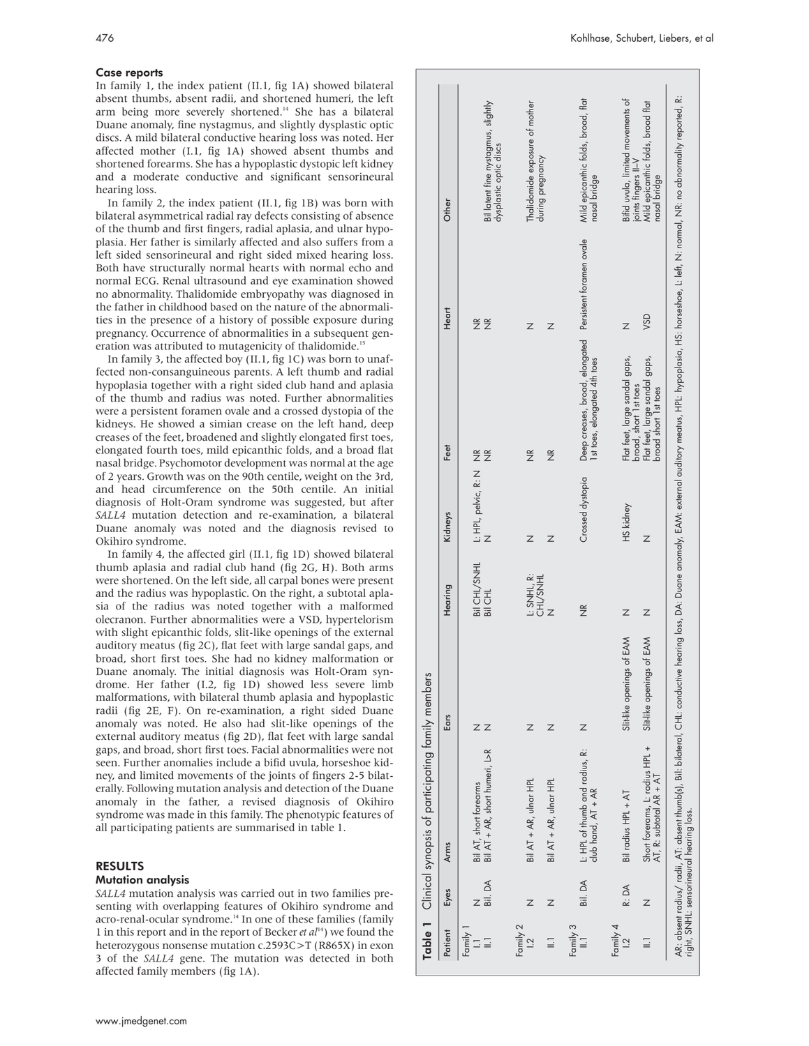# Case reports

In family 1, the index patient (II.1, fig 1A) showed bilateral absent thumbs, absent radii, and shortened humeri, the left arm being more severely shortened.14 She has a bilateral Duane anomaly, fine nystagmus, and slightly dysplastic optic discs. A mild bilateral conductive hearing loss was noted. Her affected mother (I.1, fig 1A) showed absent thumbs and shortened forearms. She has a hypoplastic dystopic left kidney and a moderate conductive and significant sensorineural hearing loss.

In family 2, the index patient (II.1, fig 1B) was born with bilateral asymmetrical radial ray defects consisting of absence of the thumb and first fingers, radial aplasia, and ulnar hypoplasia. Her father is similarly affected and also suffers from a left sided sensorineural and right sided mixed hearing loss. Both have structurally normal hearts with normal echo and normal ECG. Renal ultrasound and eye examination showed no abnormality. Thalidomide embryopathy was diagnosed in the father in childhood based on the nature of the abnormalities in the presence of a history of possible exposure during pregnancy. Occurrence of abnormalities in a subsequent generation was attributed to mutagenicity of thalidomide.<sup>15</sup>

In family 3, the affected boy (II.1, fig 1C) was born to unaffected non-consanguineous parents. A left thumb and radial hypoplasia together with a right sided club hand and aplasia of the thumb and radius was noted. Further abnormalities were a persistent foramen ovale and a crossed dystopia of the kidneys. He showed a simian crease on the left hand, deep creases of the feet, broadened and slightly elongated first toes, elongated fourth toes, mild epicanthic folds, and a broad flat nasal bridge. Psychomotor development was normal at the age of 2 years. Growth was on the 90th centile, weight on the 3rd, and head circumference on the 50th centile. An initial diagnosis of Holt-Oram syndrome was suggested, but after *SALL4* mutation detection and re-examination, a bilateral Duane anomaly was noted and the diagnosis revised to Okihiro syndrome.

In family 4, the affected girl (II.1, fig 1D) showed bilateral thumb aplasia and radial club hand (fig 2G, H). Both arms were shortened. On the left side, all carpal bones were present and the radius was hypoplastic. On the right, a subtotal aplasia of the radius was noted together with a malformed olecranon. Further abnormalities were a VSD, hypertelorism with slight epicanthic folds, slit-like openings of the external auditory meatus (fig 2C), flat feet with large sandal gaps, and broad, short first toes. She had no kidney malformation or Duane anomaly. The initial diagnosis was Holt-Oram syndrome. Her father (I.2, fig 1D) showed less severe limb malformations, with bilateral thumb aplasia and hypoplastic radii (fig 2E, F). On re-examination, a right sided Duane anomaly was noted. He also had slit-like openings of the external auditory meatus (fig 2D), flat feet with large sandal gaps, and broad, short first toes. Facial abnormalities were not seen. Further anomalies include a bifid uvula, horseshoe kidney, and limited movements of the joints of fingers 2-5 bilaterally. Following mutation analysis and detection of the Duane anomaly in the father, a revised diagnosis of Okihiro syndrome was made in this family. The phenotypic features of all participating patients are summarised in table 1.

# RESULTS

### Mutation analysis

*SALL4* mutation analysis was carried out in two families presenting with overlapping features of Okihiro syndrome and acro-renal-ocular syndrome.<sup>14</sup> In one of these families (family 1 in this report and in the report of Becker *et al*14) we found the heterozygous nonsense mutation c.2593C>T (R865X) in exon 3 of the *SALL4* gene. The mutation was detected in both affected family members (fig 1A).

|                            |         | Table 1 Clinical synopsis of participating family members                                                                                                                                                                                                                  |                           |                         |                      |                                                                                         |                             |                                                                                              |
|----------------------------|---------|----------------------------------------------------------------------------------------------------------------------------------------------------------------------------------------------------------------------------------------------------------------------------|---------------------------|-------------------------|----------------------|-----------------------------------------------------------------------------------------|-----------------------------|----------------------------------------------------------------------------------------------|
| Patient                    | Eyes    | <b>Arms</b>                                                                                                                                                                                                                                                                | Ears                      | Hearing                 | Kidneys              | Feet                                                                                    | Heart                       | Other                                                                                        |
| Family                     | Bil. DA | Bil AT + AR, short humeri, L>R<br>Bil AT, short forearms                                                                                                                                                                                                                   | $Z$ $Z$                   | Bil CHL/SNHL<br>Bil CHL | L: HPL, pelvic, R: N | $\widetilde{\Xi}$<br>$\widetilde{z}$                                                    | $\frac{1}{2}$ $\frac{1}{2}$ | Bil latent fine nystagmus, slightly<br>dysplastic optic discs                                |
| Family 2<br>$\overline{a}$ | Ζ       | Bil AT + AR, ulnar HPL                                                                                                                                                                                                                                                     | Ζ                         | L: SNHL, R:<br>CHL/SNHL | Ζ                    | $\widetilde{\widetilde{Z}}$                                                             | Z                           | Thalidomide exposure of mother<br>during pregnancy                                           |
| $\equiv$                   | Z       | Bil AT + AR, ulnar HPL                                                                                                                                                                                                                                                     | Ζ                         |                         | Ζ                    | $\widetilde{\Xi}$                                                                       | Ζ                           |                                                                                              |
| Family 3<br>$\equiv$       | Bil.DA  | L: HPL of thumb and radius, R:<br>club hand, AT + AR                                                                                                                                                                                                                       | Z                         | $\widetilde{\Xi}$       | Crossed dystopia     | Deep creases, broad, elongated Persistent foramen ovale<br>Ist toes, elongated 4th toes |                             | Mild epicanthic folds, broad, flat<br>nasal bridge                                           |
| Family 4<br>$\overline{2}$ | R: DA   | Bil radius HPL + AT                                                                                                                                                                                                                                                        | Slit-like openings of EAM | Z                       | HS kidney            | Flat feet, large sandal gaps,<br>broad, short 1st toes                                  | Z                           | Bifid uvula, limited movements of<br>joints fingers II–V<br>Mild epicamhic folds, broad flat |
|                            | Ζ       | Short forerams, L: radius HPL +<br>AT, R: subtotal AR + AT                                                                                                                                                                                                                 | Slit-like openings of EAM | Z                       | Ζ                    | Flat feet, large sandal gaps,<br>broad short 1st toes                                   | VSD                         | nasal bridge                                                                                 |
|                            |         | AR: absent radius/ radii, AT: absent thumb(s), Bil: bilateral, CHL: conductive hearing loss, DA: Duane anomally, EAM: external auditory meatus, HPL: hypoplasia, HS: horseshoe, L: left, N: normal, NR: no abnormality reporte<br>right, SNHL: sensorineural hearing loss. |                           |                         |                      |                                                                                         |                             |                                                                                              |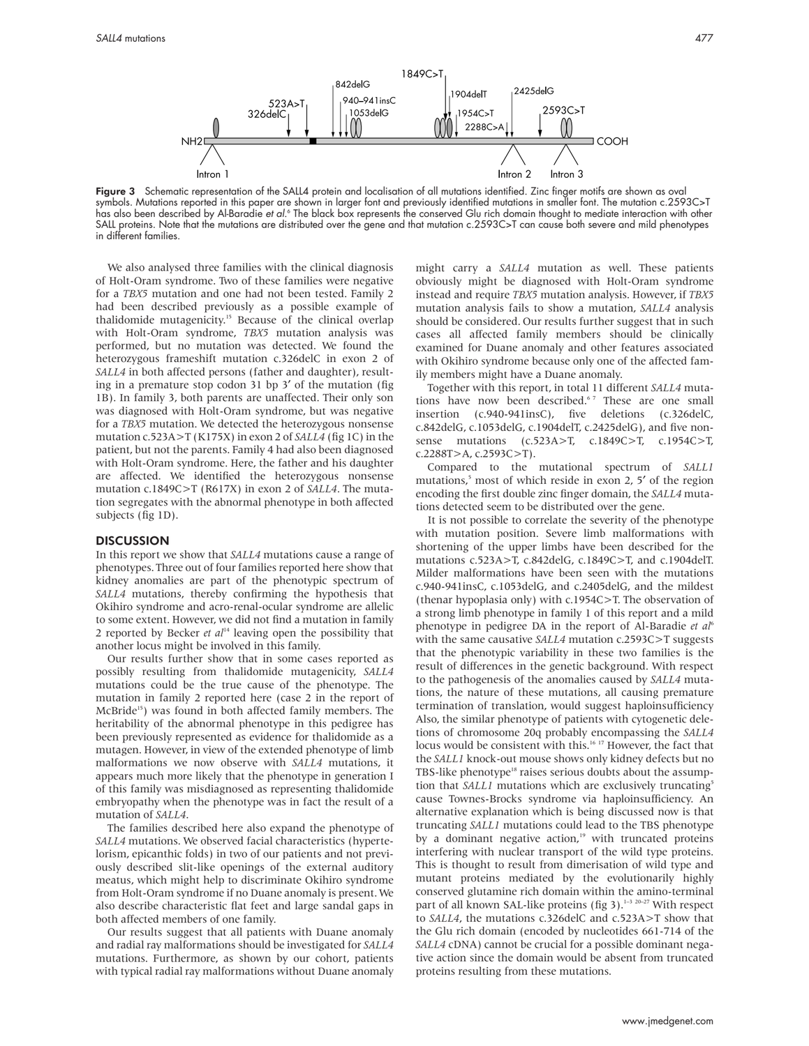Figure 3 Schematic representation of the SALL4 protein and localisation of all mutations identified. Zinc finger motifs are shown as oval symbols. Mutations reported in this paper are shown in larger font and previously identified mutations in smaller font. The mutation c.2593C>T has also been described by Al-Baradie *et al.*° The black box represents the conserved Glu rich domain thought to mediate interaction with other SALL proteins. Note that the mutations are distributed over the gene and that mutation c.2593C>T can cause both severe and mild phenotypes in different families.

We also analysed three families with the clinical diagnosis of Holt-Oram syndrome. Two of these families were negative for a *TBX5* mutation and one had not been tested. Family 2 had been described previously as a possible example of thalidomide mutagenicity.<sup>15</sup> Because of the clinical overlap with Holt-Oram syndrome, *TBX5* mutation analysis was performed, but no mutation was detected. We found the heterozygous frameshift mutation c.326delC in exon 2 of *SALL4* in both affected persons (father and daughter), resulting in a premature stop codon 31 bp 3′ of the mutation (fig 1B). In family 3, both parents are unaffected. Their only son was diagnosed with Holt-Oram syndrome, but was negative for a *TBX5* mutation. We detected the heterozygous nonsense mutation c.523A>T (K175X) in exon 2 of *SALL4* (fig 1C) in the patient, but not the parents. Family 4 had also been diagnosed with Holt-Oram syndrome. Here, the father and his daughter are affected. We identified the heterozygous nonsense mutation c.1849C>T (R617X) in exon 2 of *SALL4*. The mutation segregates with the abnormal phenotype in both affected subjects (fig 1D).

#### **DISCUSSION**

In this report we show that *SALL4* mutations cause a range of phenotypes. Three out of four families reported here show that kidney anomalies are part of the phenotypic spectrum of *SALL4* mutations, thereby confirming the hypothesis that Okihiro syndrome and acro-renal-ocular syndrome are allelic to some extent. However, we did not find a mutation in family 2 reported by Becker *et al*<sup>14</sup> leaving open the possibility that another locus might be involved in this family.

Our results further show that in some cases reported as possibly resulting from thalidomide mutagenicity, *SALL4* mutations could be the true cause of the phenotype. The mutation in family 2 reported here (case 2 in the report of McBride<sup>15</sup>) was found in both affected family members. The heritability of the abnormal phenotype in this pedigree has been previously represented as evidence for thalidomide as a mutagen. However, in view of the extended phenotype of limb malformations we now observe with *SALL4* mutations, it appears much more likely that the phenotype in generation I of this family was misdiagnosed as representing thalidomide embryopathy when the phenotype was in fact the result of a mutation of *SALL4*.

The families described here also expand the phenotype of *SALL4* mutations. We observed facial characteristics (hypertelorism, epicanthic folds) in two of our patients and not previously described slit-like openings of the external auditory meatus, which might help to discriminate Okihiro syndrome from Holt-Oram syndrome if no Duane anomaly is present. We also describe characteristic flat feet and large sandal gaps in both affected members of one family.

Our results suggest that all patients with Duane anomaly and radial ray malformations should be investigated for *SALL4* mutations. Furthermore, as shown by our cohort, patients with typical radial ray malformations without Duane anomaly might carry a *SALL4* mutation as well. These patients obviously might be diagnosed with Holt-Oram syndrome instead and require *TBX5* mutation analysis. However, if *TBX5* mutation analysis fails to show a mutation, *SALL4* analysis should be considered. Our results further suggest that in such cases all affected family members should be clinically examined for Duane anomaly and other features associated with Okihiro syndrome because only one of the affected family members might have a Duane anomaly.

Together with this report, in total 11 different *SALL4* mutations have now been described.<sup>67</sup> These are one small insertion (c.940-941insC), five deletions (c.326delC, c.842delG, c.1053delG, c.1904delT, c.2425delG), and five nonsense mutations (c.523A>T, c.1849C>T, c.1954C>T, c.2288T>A, c.2593C>T).

Compared to the mutational spectrum of *SALL1* mutations,<sup>5</sup> most of which reside in exon 2, 5' of the region encoding the first double zinc finger domain, the *SALL4* mutations detected seem to be distributed over the gene.

It is not possible to correlate the severity of the phenotype with mutation position. Severe limb malformations with shortening of the upper limbs have been described for the mutations c.523A>T, c.842delG, c.1849C>T, and c.1904delT. Milder malformations have been seen with the mutations c.940-941insC, c.1053delG, and c.2405delG, and the mildest (thenar hypoplasia only) with c.1954C>T. The observation of a strong limb phenotype in family 1 of this report and a mild phenotype in pedigree DA in the report of Al-Baradie *et al*<sup>6</sup> with the same causative *SALL4* mutation c.2593C>T suggests that the phenotypic variability in these two families is the result of differences in the genetic background. With respect to the pathogenesis of the anomalies caused by *SALL4* mutations, the nature of these mutations, all causing premature termination of translation, would suggest haploinsufficiency Also, the similar phenotype of patients with cytogenetic deletions of chromosome 20q probably encompassing the *SALL4* locus would be consistent with this.<sup>16 17</sup> However, the fact that the *SALL1* knock-out mouse shows only kidney defects but no TBS-like phenotype<sup>18</sup> raises serious doubts about the assumption that *SALL1* mutations which are exclusively truncating<sup>5</sup> cause Townes-Brocks syndrome via haploinsufficiency. An alternative explanation which is being discussed now is that truncating *SALL1* mutations could lead to the TBS phenotype by a dominant negative action, $19$  with truncated proteins interfering with nuclear transport of the wild type proteins. This is thought to result from dimerisation of wild type and mutant proteins mediated by the evolutionarily highly conserved glutamine rich domain within the amino-terminal part of all known SAL-like proteins (fig 3).<sup>1-3 20-27</sup> With respect to *SALL4*, the mutations c.326delC and c.523A>T show that the Glu rich domain (encoded by nucleotides 661-714 of the *SALL4* cDNA) cannot be crucial for a possible dominant negative action since the domain would be absent from truncated proteins resulting from these mutations.